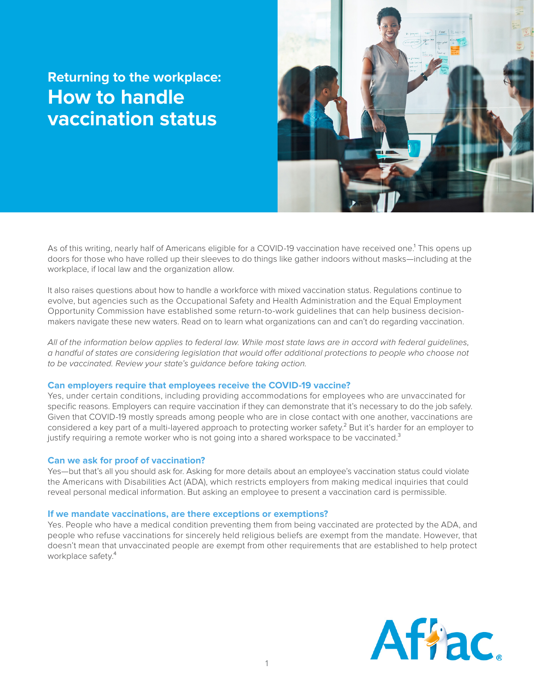# **Returning to the workplace: How to handle vaccination status**



As of this writing, nearly half of Americans eligible for a COVID-19 vaccination have received one.<sup>1</sup> This opens up doors for those who have rolled up their sleeves to do things like gather indoors without masks—including at the workplace, if local law and the organization allow.

It also raises questions about how to handle a workforce with mixed vaccination status. Regulations continue to evolve, but agencies such as the Occupational Safety and Health Administration and the Equal Employment Opportunity Commission have established some return-to-work guidelines that can help business decisionmakers navigate these new waters. Read on to learn what organizations can and can't do regarding vaccination.

*All of the information below applies to federal law. While most state laws are in accord with federal guidelines, a handful of states are considering legislation that would offer additional protections to people who choose not to be vaccinated. Review your state's guidance before taking action.*

# **Can employers require that employees receive the COVID-19 vaccine?**

Yes, under certain conditions, including providing accommodations for employees who are unvaccinated for specific reasons. Employers can require vaccination if they can demonstrate that it's necessary to do the job safely. Given that COVID-19 mostly spreads among people who are in close contact with one another, vaccinations are considered a key part of a multi-layered approach to protecting worker safety.<sup>2</sup> But it's harder for an employer to justify requiring a remote worker who is not going into a shared workspace to be vaccinated.<sup>3</sup>

#### **Can we ask for proof of vaccination?**

Yes—but that's all you should ask for. Asking for more details about an employee's vaccination status could violate the Americans with Disabilities Act (ADA), which restricts employers from making medical inquiries that could reveal personal medical information. But asking an employee to present a vaccination card is permissible.

### **If we mandate vaccinations, are there exceptions or exemptions?**

Yes. People who have a medical condition preventing them from being vaccinated are protected by the ADA, and people who refuse vaccinations for sincerely held religious beliefs are exempt from the mandate. However, that doesn't mean that unvaccinated people are exempt from other requirements that are established to help protect workplace safety.<sup>4</sup>